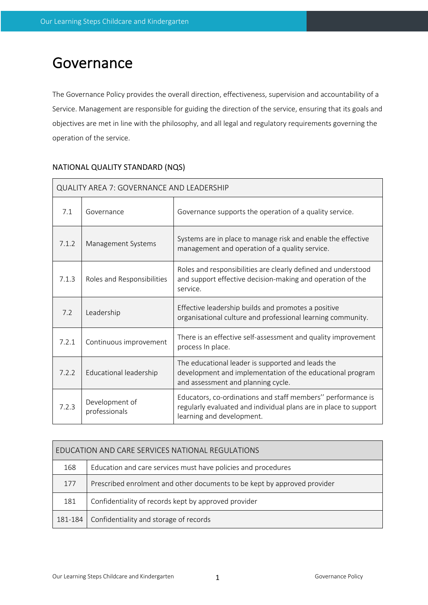# Governance

The Governance Policy provides the overall direction, effectiveness, supervision and accountability of a Service. Management are responsible for guiding the direction of the service, ensuring that its goals and objectives are met in line with the philosophy, and all legal and regulatory requirements governing the operation of the service.

| <b>QUALITY AREA 7: GOVERNANCE AND LEADERSHIP</b> |                                 |                                                                                                                                                              |  |  |  |
|--------------------------------------------------|---------------------------------|--------------------------------------------------------------------------------------------------------------------------------------------------------------|--|--|--|
| 7.1                                              | Governance                      | Governance supports the operation of a quality service.                                                                                                      |  |  |  |
| 7.1.2                                            | Management Systems              | Systems are in place to manage risk and enable the effective<br>management and operation of a quality service.                                               |  |  |  |
| 7.1.3                                            | Roles and Responsibilities      | Roles and responsibilities are clearly defined and understood<br>and support effective decision-making and operation of the<br>service.                      |  |  |  |
| 7.2                                              | Leadership                      | Effective leadership builds and promotes a positive<br>organisational culture and professional learning community.                                           |  |  |  |
| 7.2.1                                            | Continuous improvement          | There is an effective self-assessment and quality improvement<br>process In place.                                                                           |  |  |  |
| 7.2.2                                            | Educational leadership          | The educational leader is supported and leads the<br>development and implementation of the educational program<br>and assessment and planning cycle.         |  |  |  |
| 7.2.3                                            | Development of<br>professionals | Educators, co-ordinations and staff members" performance is<br>regularly evaluated and individual plans are in place to support<br>learning and development. |  |  |  |

# NATIONAL QUALITY STANDARD (NQS)

| EDUCATION AND CARE SERVICES NATIONAL REGULATIONS |                                                                          |  |  |  |
|--------------------------------------------------|--------------------------------------------------------------------------|--|--|--|
| 168                                              | Education and care services must have policies and procedures            |  |  |  |
| 177                                              | Prescribed enrolment and other documents to be kept by approved provider |  |  |  |
| 181                                              | Confidentiality of records kept by approved provider                     |  |  |  |
| 181-184                                          | Confidentiality and storage of records                                   |  |  |  |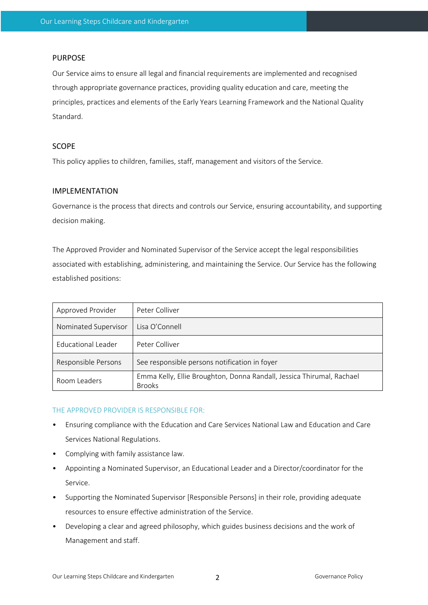## PURPOSE

Our Service aims to ensure all legal and financial requirements are implemented and recognised through appropriate governance practices, providing quality education and care, meeting the principles, practices and elements of the Early Years Learning Framework and the National Quality Standard.

## SCOPE

This policy applies to children, families, staff, management and visitors of the Service.

#### IMPLEMENTATION

Governance is the process that directs and controls our Service, ensuring accountability, and supporting decision making.

The Approved Provider and Nominated Supervisor of the Service accept the legal responsibilities associated with establishing, administering, and maintaining the Service. Our Service has the following established positions:

| Approved Provider    | Peter Colliver                                                                         |  |
|----------------------|----------------------------------------------------------------------------------------|--|
| Nominated Supervisor | Lisa O'Connell                                                                         |  |
| Educational Leader   | Peter Colliver                                                                         |  |
| Responsible Persons  | See responsible persons notification in foyer                                          |  |
| Room Leaders         | Emma Kelly, Ellie Broughton, Donna Randall, Jessica Thirumal, Rachael<br><b>Brooks</b> |  |

#### THE APPROVED PROVIDER IS RESPONSIBLE FOR:

- Ensuring compliance with the Education and Care Services National Law and Education and Care Services National Regulations.
- Complying with family assistance law.
- Appointing a Nominated Supervisor, an Educational Leader and a Director/coordinator for the Service.
- Supporting the Nominated Supervisor [Responsible Persons] in their role, providing adequate resources to ensure effective administration of the Service.
- Developing a clear and agreed philosophy, which guides business decisions and the work of Management and staff.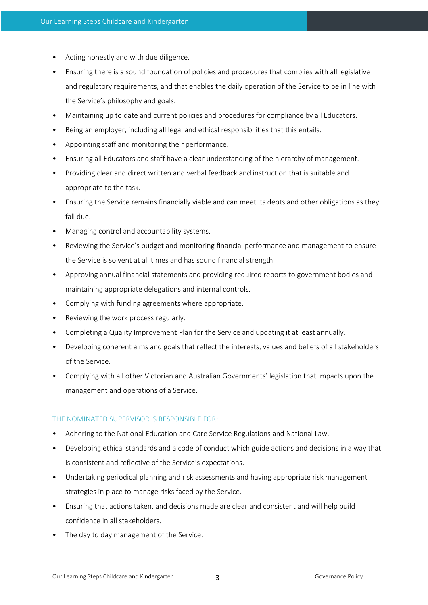- Acting honestly and with due diligence.
- Ensuring there is a sound foundation of policies and procedures that complies with all legislative and regulatory requirements, and that enables the daily operation of the Service to be in line with the Service's philosophy and goals.
- Maintaining up to date and current policies and procedures for compliance by all Educators.
- Being an employer, including all legal and ethical responsibilities that this entails.
- Appointing staff and monitoring their performance.
- Ensuring all Educators and staff have a clear understanding of the hierarchy of management.
- Providing clear and direct written and verbal feedback and instruction that is suitable and appropriate to the task.
- Ensuring the Service remains financially viable and can meet its debts and other obligations as they fall due.
- Managing control and accountability systems.
- Reviewing the Service's budget and monitoring financial performance and management to ensure the Service is solvent at all times and has sound financial strength.
- Approving annual financial statements and providing required reports to government bodies and maintaining appropriate delegations and internal controls.
- Complying with funding agreements where appropriate.
- Reviewing the work process regularly.
- Completing a Quality Improvement Plan for the Service and updating it at least annually.
- Developing coherent aims and goals that reflect the interests, values and beliefs of all stakeholders of the Service.
- Complying with all other Victorian and Australian Governments' legislation that impacts upon the management and operations of a Service.

#### THE NOMINATED SUPERVISOR IS RESPONSIBLE FOR:

- Adhering to the National Education and Care Service Regulations and National Law.
- Developing ethical standards and a code of conduct which guide actions and decisions in a way that is consistent and reflective of the Service's expectations.
- Undertaking periodical planning and risk assessments and having appropriate risk management strategies in place to manage risks faced by the Service.
- Ensuring that actions taken, and decisions made are clear and consistent and will help build confidence in all stakeholders.
- The day to day management of the Service.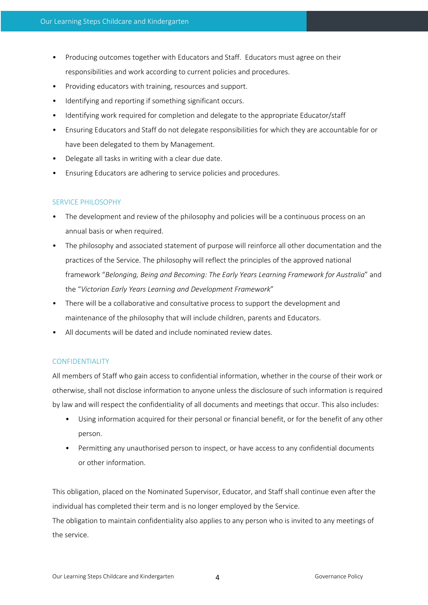- Producing outcomes together with Educators and Staff. Educators must agree on their responsibilities and work according to current policies and procedures.
- Providing educators with training, resources and support.
- Identifying and reporting if something significant occurs.
- Identifying work required for completion and delegate to the appropriate Educator/staff
- Ensuring Educators and Staff do not delegate responsibilities for which they are accountable for or have been delegated to them by Management.
- Delegate all tasks in writing with a clear due date.
- Ensuring Educators are adhering to service policies and procedures.

#### SERVICE PHILOSOPHY

- The development and review of the philosophy and policies will be a continuous process on an annual basis or when required.
- The philosophy and associated statement of purpose will reinforce all other documentation and the practices of the Service. The philosophy will reflect the principles of the approved national framework "*Belonging, Being and Becoming: The Early Years Learning Framework for Australia*" and the "*Victorian Early Years Learning and Development Framework*"
- There will be a collaborative and consultative process to support the development and maintenance of the philosophy that will include children, parents and Educators.
- All documents will be dated and include nominated review dates.

#### CONFIDENTIALITY

All members of Staff who gain access to confidential information, whether in the course of their work or otherwise, shall not disclose information to anyone unless the disclosure of such information is required by law and will respect the confidentiality of all documents and meetings that occur. This also includes:

- Using information acquired for their personal or financial benefit, or for the benefit of any other person.
- Permitting any unauthorised person to inspect, or have access to any confidential documents or other information.

This obligation, placed on the Nominated Supervisor, Educator, and Staff shall continue even after the individual has completed their term and is no longer employed by the Service.

The obligation to maintain confidentiality also applies to any person who is invited to any meetings of the service.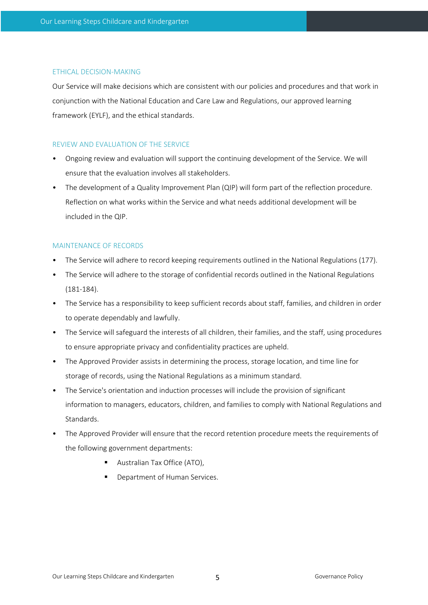#### ETHICAL DECISION-MAKING

Our Service will make decisions which are consistent with our policies and procedures and that work in conjunction with the National Education and Care Law and Regulations, our approved learning framework (EYLF), and the ethical standards.

# REVIEW AND EVALUATION OF THE SERVICE

- Ongoing review and evaluation will support the continuing development of the Service. We will ensure that the evaluation involves all stakeholders.
- The development of a Quality Improvement Plan (QIP) will form part of the reflection procedure. Reflection on what works within the Service and what needs additional development will be included in the QIP.

## MAINTENANCE OF RECORDS

- The Service will adhere to record keeping requirements outlined in the National Regulations (177).
- The Service will adhere to the storage of confidential records outlined in the National Regulations (181-184).
- The Service has a responsibility to keep sufficient records about staff, families, and children in order to operate dependably and lawfully.
- The Service will safeguard the interests of all children, their families, and the staff, using procedures to ensure appropriate privacy and confidentiality practices are upheld.
- The Approved Provider assists in determining the process, storage location, and time line for storage of records, using the National Regulations as a minimum standard.
- The Service's orientation and induction processes will include the provision of significant information to managers, educators, children, and families to comply with National Regulations and Standards.
- The Approved Provider will ensure that the record retention procedure meets the requirements of the following government departments:
	- Australian Tax Office (ATO),
	- Department of Human Services.